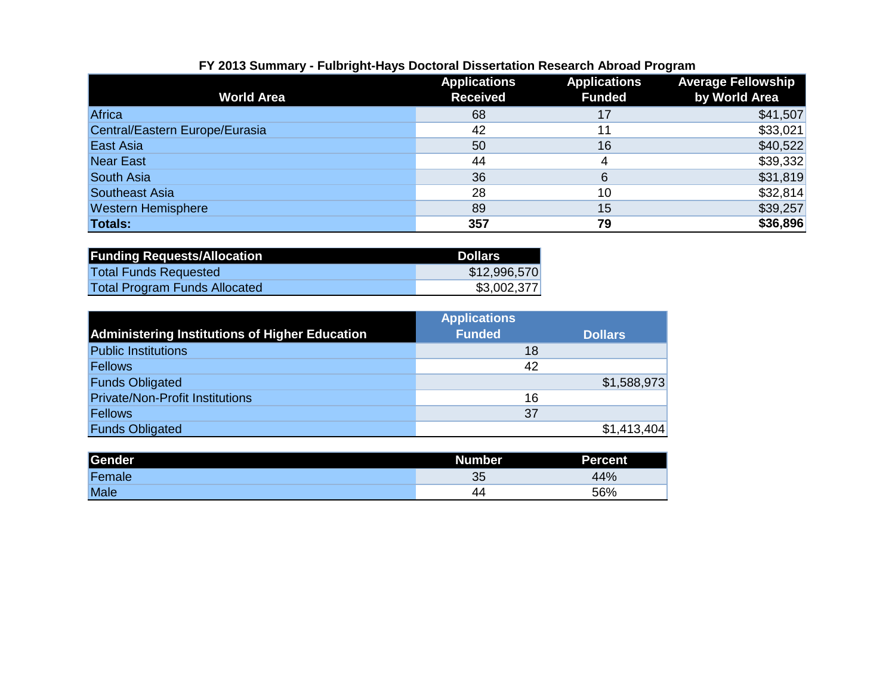| FY 2013 Summary - Fulbright-Hays Doctoral Dissertation Research Abroad Program |  |  |  |  |  |  |
|--------------------------------------------------------------------------------|--|--|--|--|--|--|
|--------------------------------------------------------------------------------|--|--|--|--|--|--|

|                                | <b>Applications</b> | <b>Applications</b> | <b>Average Fellowship</b> |
|--------------------------------|---------------------|---------------------|---------------------------|
| <b>World Area</b>              | <b>Received</b>     | <b>Funded</b>       | by World Area             |
| Africa                         | 68                  | 17                  | \$41,507                  |
| Central/Eastern Europe/Eurasia | 42                  | 11                  | \$33,021                  |
| <b>East Asia</b>               | 50                  | 16                  | \$40,522                  |
| <b>Near East</b>               | 44                  |                     | \$39,332                  |
| <b>South Asia</b>              | 36                  | 6                   | \$31,819                  |
| <b>Southeast Asia</b>          | 28                  | 10                  | \$32,814                  |
| <b>Western Hemisphere</b>      | 89                  | 15                  | \$39,257                  |
| <b>Totals:</b>                 | 357                 | 79                  | \$36,896                  |

| <b>Funding Requests/Allocation</b>   | <b>Dollars</b> |
|--------------------------------------|----------------|
| <b>Total Funds Requested</b>         | \$12,996,570   |
| <b>Total Program Funds Allocated</b> | \$3,002,377    |

|                                                       | <b>Applications</b> |                |
|-------------------------------------------------------|---------------------|----------------|
| <b>Administering Institutions of Higher Education</b> | <b>Funded</b>       | <b>Dollars</b> |
| <b>Public Institutions</b>                            | 18                  |                |
| <b>Fellows</b>                                        | 42                  |                |
| <b>Funds Obligated</b>                                |                     | \$1,588,973    |
| <b>Private/Non-Profit Institutions</b>                | 16                  |                |
| Fellows                                               | 37                  |                |
| <b>Funds Obligated</b>                                |                     | \$1,413,404    |

| Gender      | Number <sup>1</sup> | <b>Percent</b> |
|-------------|---------------------|----------------|
| Female      | 35                  | 44%            |
| <b>Male</b> | 44                  | 56%            |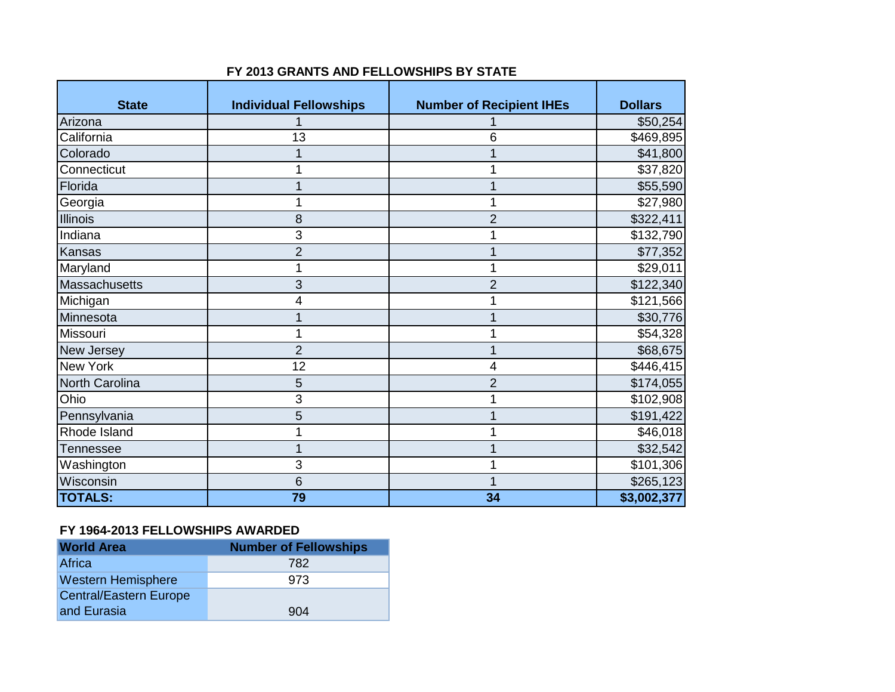| <b>State</b>     | <b>Individual Fellowships</b> | <b>Number of Recipient IHEs</b> | <b>Dollars</b>    |
|------------------|-------------------------------|---------------------------------|-------------------|
| Arizona          |                               |                                 | \$50,254          |
| California       | 13                            | 6                               | \$469,895         |
| Colorado         |                               |                                 | \$41,800          |
| Connecticut      |                               |                                 | \$37,820          |
| Florida          |                               |                                 | \$55,590          |
| Georgia          |                               |                                 | \$27,980          |
| <b>Illinois</b>  | 8                             | 2                               | \$322,411         |
| Indiana          | 3                             |                                 | $\sqrt{$132,790}$ |
| Kansas           | $\overline{2}$                |                                 | \$77,352          |
| Maryland         |                               |                                 | \$29,011          |
| Massachusetts    | 3                             | 2                               | \$122,340         |
| Michigan         | 4                             |                                 | \$121,566         |
| Minnesota        |                               |                                 | \$30,776          |
| Missouri         |                               |                                 | \$54,328          |
| New Jersey       | $\overline{2}$                |                                 | \$68,675          |
| <b>New York</b>  | 12                            | 4                               | \$446,415         |
| North Carolina   | 5                             | $\overline{2}$                  | \$174,055         |
| Ohio             | 3                             |                                 | \$102,908         |
| Pennsylvania     | 5                             |                                 | \$191,422         |
| Rhode Island     |                               |                                 | \$46,018          |
| <b>Tennessee</b> |                               |                                 | \$32,542          |
| Washington       | 3                             |                                 | \$101,306         |
| Wisconsin        | 6                             |                                 | \$265,123         |
| <b>TOTALS:</b>   | 79                            | 34                              | \$3,002,377       |

#### **FY 2013 GRANTS AND FELLOWSHIPS BY STATE**

#### **FY 1964-2013 FELLOWSHIPS AWARDED**

| <b>World Area</b>             | <b>Number of Fellowships</b> |
|-------------------------------|------------------------------|
| Africa                        | 782                          |
| <b>Western Hemisphere</b>     | 973                          |
| <b>Central/Eastern Europe</b> |                              |
| and Eurasia                   | 904                          |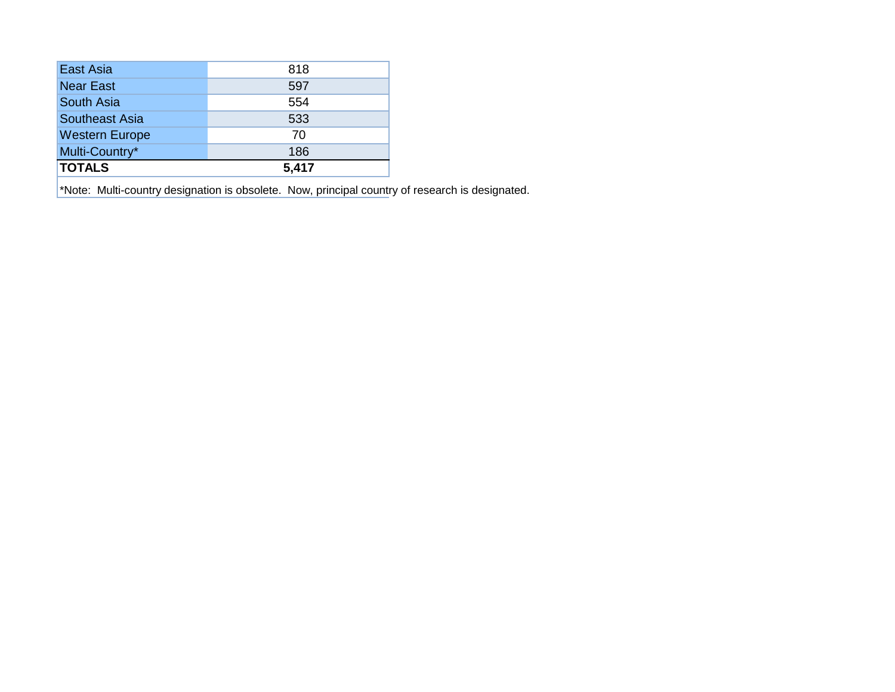| East Asia             | 818   |
|-----------------------|-------|
| <b>Near East</b>      | 597   |
| South Asia            | 554   |
| Southeast Asia        | 533   |
| <b>Western Europe</b> | 70    |
| Multi-Country*        | 186   |
| <b>TOTALS</b>         | 5,417 |

\*Note: Multi-country designation is obsolete. Now, principal country of research is designated.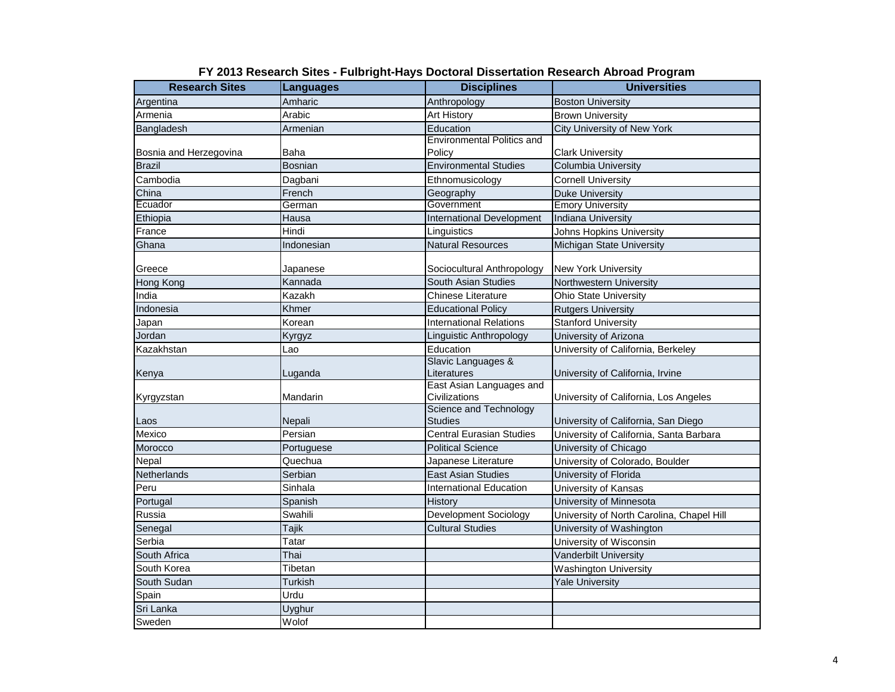| Amharic<br>Anthropology<br>Argentina<br><b>Boston University</b><br>Arabic<br><b>Art History</b><br>Armenia<br><b>Brown University</b><br>Armenian<br>Education<br>Bangladesh<br>City University of New York<br><b>Environmental Politics and</b><br>Baha<br>Policy<br>Bosnia and Herzegovina<br><b>Clark University</b><br><b>Brazil</b><br><b>Bosnian</b><br><b>Environmental Studies</b><br><b>Columbia University</b><br>Ethnomusicology<br>Cambodia<br>Dagbani<br><b>Cornell University</b><br>China<br>French<br>Geography<br><b>Duke University</b><br>Ecuador<br>Government<br>German<br><b>Emory University</b><br>Hausa<br><b>International Development</b><br><b>Indiana University</b><br>Ethiopia<br>Hindi<br>Linguistics<br>France<br>Johns Hopkins University<br><b>Natural Resources</b><br>Ghana<br>Indonesian<br>Michigan State University<br>Greece<br>Sociocultural Anthropology<br>Japanese<br><b>New York University</b><br>Kannada<br>South Asian Studies<br>Northwestern University<br>Hong Kong<br>Kazakh<br>Ohio State University<br>India<br><b>Chinese Literature</b><br>Khmer<br>Indonesia<br><b>Educational Policy</b><br><b>Rutgers University</b><br>Korean<br><b>International Relations</b><br><b>Stanford University</b><br>Japan<br>Jordan<br>Linguistic Anthropology<br>University of Arizona<br>Kyrgyz<br>Education<br>Kazakhstan<br>Lao<br>University of California, Berkeley<br>Slavic Languages &<br>Literatures<br>University of California, Irvine<br>Luganda<br>Kenya<br>East Asian Languages and<br>Mandarin<br>Civilizations<br>Kyrgyzstan<br>University of California, Los Angeles<br>Science and Technology<br>Nepali<br><b>Studies</b><br>Laos<br>University of California, San Diego<br>Mexico<br>Persian<br><b>Central Eurasian Studies</b><br>University of California, Santa Barbara<br><b>Political Science</b><br>University of Chicago<br>Morocco<br>Portuguese<br>Nepal<br>Quechua<br>Japanese Literature<br>University of Colorado, Boulder<br>Netherlands<br>Serbian<br><b>East Asian Studies</b><br>University of Florida<br>Sinhala<br>Peru<br><b>International Education</b><br>University of Kansas<br>Spanish<br>History<br>University of Minnesota<br>Portugal<br><b>Development Sociology</b><br>Russia<br>Swahili<br>University of North Carolina, Chapel Hill<br>Tajik<br><b>Cultural Studies</b><br>University of Washington<br>Senegal<br>Serbia<br>Tatar<br>University of Wisconsin<br>Thai<br>South Africa<br><b>Vanderbilt University</b><br>Tibetan<br>South Korea<br><b>Washington University</b><br>South Sudan<br><b>Turkish</b><br><b>Yale University</b><br>Spain<br>Urdu<br>Sri Lanka<br>Uyghur | <b>Research Sites</b> | Languages | <b>Disciplines</b> | <b>Universities</b> |
|---------------------------------------------------------------------------------------------------------------------------------------------------------------------------------------------------------------------------------------------------------------------------------------------------------------------------------------------------------------------------------------------------------------------------------------------------------------------------------------------------------------------------------------------------------------------------------------------------------------------------------------------------------------------------------------------------------------------------------------------------------------------------------------------------------------------------------------------------------------------------------------------------------------------------------------------------------------------------------------------------------------------------------------------------------------------------------------------------------------------------------------------------------------------------------------------------------------------------------------------------------------------------------------------------------------------------------------------------------------------------------------------------------------------------------------------------------------------------------------------------------------------------------------------------------------------------------------------------------------------------------------------------------------------------------------------------------------------------------------------------------------------------------------------------------------------------------------------------------------------------------------------------------------------------------------------------------------------------------------------------------------------------------------------------------------------------------------------------------------------------------------------------------------------------------------------------------------------------------------------------------------------------------------------------------------------------------------------------------------------------------------------------------------------------------------------------------------------------------------------------------------------------------------------------------------------------------------------------------------------------------------------------------------------------------|-----------------------|-----------|--------------------|---------------------|
|                                                                                                                                                                                                                                                                                                                                                                                                                                                                                                                                                                                                                                                                                                                                                                                                                                                                                                                                                                                                                                                                                                                                                                                                                                                                                                                                                                                                                                                                                                                                                                                                                                                                                                                                                                                                                                                                                                                                                                                                                                                                                                                                                                                                                                                                                                                                                                                                                                                                                                                                                                                                                                                                                 |                       |           |                    |                     |
|                                                                                                                                                                                                                                                                                                                                                                                                                                                                                                                                                                                                                                                                                                                                                                                                                                                                                                                                                                                                                                                                                                                                                                                                                                                                                                                                                                                                                                                                                                                                                                                                                                                                                                                                                                                                                                                                                                                                                                                                                                                                                                                                                                                                                                                                                                                                                                                                                                                                                                                                                                                                                                                                                 |                       |           |                    |                     |
|                                                                                                                                                                                                                                                                                                                                                                                                                                                                                                                                                                                                                                                                                                                                                                                                                                                                                                                                                                                                                                                                                                                                                                                                                                                                                                                                                                                                                                                                                                                                                                                                                                                                                                                                                                                                                                                                                                                                                                                                                                                                                                                                                                                                                                                                                                                                                                                                                                                                                                                                                                                                                                                                                 |                       |           |                    |                     |
|                                                                                                                                                                                                                                                                                                                                                                                                                                                                                                                                                                                                                                                                                                                                                                                                                                                                                                                                                                                                                                                                                                                                                                                                                                                                                                                                                                                                                                                                                                                                                                                                                                                                                                                                                                                                                                                                                                                                                                                                                                                                                                                                                                                                                                                                                                                                                                                                                                                                                                                                                                                                                                                                                 |                       |           |                    |                     |
|                                                                                                                                                                                                                                                                                                                                                                                                                                                                                                                                                                                                                                                                                                                                                                                                                                                                                                                                                                                                                                                                                                                                                                                                                                                                                                                                                                                                                                                                                                                                                                                                                                                                                                                                                                                                                                                                                                                                                                                                                                                                                                                                                                                                                                                                                                                                                                                                                                                                                                                                                                                                                                                                                 |                       |           |                    |                     |
|                                                                                                                                                                                                                                                                                                                                                                                                                                                                                                                                                                                                                                                                                                                                                                                                                                                                                                                                                                                                                                                                                                                                                                                                                                                                                                                                                                                                                                                                                                                                                                                                                                                                                                                                                                                                                                                                                                                                                                                                                                                                                                                                                                                                                                                                                                                                                                                                                                                                                                                                                                                                                                                                                 |                       |           |                    |                     |
|                                                                                                                                                                                                                                                                                                                                                                                                                                                                                                                                                                                                                                                                                                                                                                                                                                                                                                                                                                                                                                                                                                                                                                                                                                                                                                                                                                                                                                                                                                                                                                                                                                                                                                                                                                                                                                                                                                                                                                                                                                                                                                                                                                                                                                                                                                                                                                                                                                                                                                                                                                                                                                                                                 |                       |           |                    |                     |
|                                                                                                                                                                                                                                                                                                                                                                                                                                                                                                                                                                                                                                                                                                                                                                                                                                                                                                                                                                                                                                                                                                                                                                                                                                                                                                                                                                                                                                                                                                                                                                                                                                                                                                                                                                                                                                                                                                                                                                                                                                                                                                                                                                                                                                                                                                                                                                                                                                                                                                                                                                                                                                                                                 |                       |           |                    |                     |
|                                                                                                                                                                                                                                                                                                                                                                                                                                                                                                                                                                                                                                                                                                                                                                                                                                                                                                                                                                                                                                                                                                                                                                                                                                                                                                                                                                                                                                                                                                                                                                                                                                                                                                                                                                                                                                                                                                                                                                                                                                                                                                                                                                                                                                                                                                                                                                                                                                                                                                                                                                                                                                                                                 |                       |           |                    |                     |
|                                                                                                                                                                                                                                                                                                                                                                                                                                                                                                                                                                                                                                                                                                                                                                                                                                                                                                                                                                                                                                                                                                                                                                                                                                                                                                                                                                                                                                                                                                                                                                                                                                                                                                                                                                                                                                                                                                                                                                                                                                                                                                                                                                                                                                                                                                                                                                                                                                                                                                                                                                                                                                                                                 |                       |           |                    |                     |
|                                                                                                                                                                                                                                                                                                                                                                                                                                                                                                                                                                                                                                                                                                                                                                                                                                                                                                                                                                                                                                                                                                                                                                                                                                                                                                                                                                                                                                                                                                                                                                                                                                                                                                                                                                                                                                                                                                                                                                                                                                                                                                                                                                                                                                                                                                                                                                                                                                                                                                                                                                                                                                                                                 |                       |           |                    |                     |
|                                                                                                                                                                                                                                                                                                                                                                                                                                                                                                                                                                                                                                                                                                                                                                                                                                                                                                                                                                                                                                                                                                                                                                                                                                                                                                                                                                                                                                                                                                                                                                                                                                                                                                                                                                                                                                                                                                                                                                                                                                                                                                                                                                                                                                                                                                                                                                                                                                                                                                                                                                                                                                                                                 |                       |           |                    |                     |
|                                                                                                                                                                                                                                                                                                                                                                                                                                                                                                                                                                                                                                                                                                                                                                                                                                                                                                                                                                                                                                                                                                                                                                                                                                                                                                                                                                                                                                                                                                                                                                                                                                                                                                                                                                                                                                                                                                                                                                                                                                                                                                                                                                                                                                                                                                                                                                                                                                                                                                                                                                                                                                                                                 |                       |           |                    |                     |
|                                                                                                                                                                                                                                                                                                                                                                                                                                                                                                                                                                                                                                                                                                                                                                                                                                                                                                                                                                                                                                                                                                                                                                                                                                                                                                                                                                                                                                                                                                                                                                                                                                                                                                                                                                                                                                                                                                                                                                                                                                                                                                                                                                                                                                                                                                                                                                                                                                                                                                                                                                                                                                                                                 |                       |           |                    |                     |
|                                                                                                                                                                                                                                                                                                                                                                                                                                                                                                                                                                                                                                                                                                                                                                                                                                                                                                                                                                                                                                                                                                                                                                                                                                                                                                                                                                                                                                                                                                                                                                                                                                                                                                                                                                                                                                                                                                                                                                                                                                                                                                                                                                                                                                                                                                                                                                                                                                                                                                                                                                                                                                                                                 |                       |           |                    |                     |
|                                                                                                                                                                                                                                                                                                                                                                                                                                                                                                                                                                                                                                                                                                                                                                                                                                                                                                                                                                                                                                                                                                                                                                                                                                                                                                                                                                                                                                                                                                                                                                                                                                                                                                                                                                                                                                                                                                                                                                                                                                                                                                                                                                                                                                                                                                                                                                                                                                                                                                                                                                                                                                                                                 |                       |           |                    |                     |
|                                                                                                                                                                                                                                                                                                                                                                                                                                                                                                                                                                                                                                                                                                                                                                                                                                                                                                                                                                                                                                                                                                                                                                                                                                                                                                                                                                                                                                                                                                                                                                                                                                                                                                                                                                                                                                                                                                                                                                                                                                                                                                                                                                                                                                                                                                                                                                                                                                                                                                                                                                                                                                                                                 |                       |           |                    |                     |
|                                                                                                                                                                                                                                                                                                                                                                                                                                                                                                                                                                                                                                                                                                                                                                                                                                                                                                                                                                                                                                                                                                                                                                                                                                                                                                                                                                                                                                                                                                                                                                                                                                                                                                                                                                                                                                                                                                                                                                                                                                                                                                                                                                                                                                                                                                                                                                                                                                                                                                                                                                                                                                                                                 |                       |           |                    |                     |
|                                                                                                                                                                                                                                                                                                                                                                                                                                                                                                                                                                                                                                                                                                                                                                                                                                                                                                                                                                                                                                                                                                                                                                                                                                                                                                                                                                                                                                                                                                                                                                                                                                                                                                                                                                                                                                                                                                                                                                                                                                                                                                                                                                                                                                                                                                                                                                                                                                                                                                                                                                                                                                                                                 |                       |           |                    |                     |
|                                                                                                                                                                                                                                                                                                                                                                                                                                                                                                                                                                                                                                                                                                                                                                                                                                                                                                                                                                                                                                                                                                                                                                                                                                                                                                                                                                                                                                                                                                                                                                                                                                                                                                                                                                                                                                                                                                                                                                                                                                                                                                                                                                                                                                                                                                                                                                                                                                                                                                                                                                                                                                                                                 |                       |           |                    |                     |
|                                                                                                                                                                                                                                                                                                                                                                                                                                                                                                                                                                                                                                                                                                                                                                                                                                                                                                                                                                                                                                                                                                                                                                                                                                                                                                                                                                                                                                                                                                                                                                                                                                                                                                                                                                                                                                                                                                                                                                                                                                                                                                                                                                                                                                                                                                                                                                                                                                                                                                                                                                                                                                                                                 |                       |           |                    |                     |
|                                                                                                                                                                                                                                                                                                                                                                                                                                                                                                                                                                                                                                                                                                                                                                                                                                                                                                                                                                                                                                                                                                                                                                                                                                                                                                                                                                                                                                                                                                                                                                                                                                                                                                                                                                                                                                                                                                                                                                                                                                                                                                                                                                                                                                                                                                                                                                                                                                                                                                                                                                                                                                                                                 |                       |           |                    |                     |
|                                                                                                                                                                                                                                                                                                                                                                                                                                                                                                                                                                                                                                                                                                                                                                                                                                                                                                                                                                                                                                                                                                                                                                                                                                                                                                                                                                                                                                                                                                                                                                                                                                                                                                                                                                                                                                                                                                                                                                                                                                                                                                                                                                                                                                                                                                                                                                                                                                                                                                                                                                                                                                                                                 |                       |           |                    |                     |
|                                                                                                                                                                                                                                                                                                                                                                                                                                                                                                                                                                                                                                                                                                                                                                                                                                                                                                                                                                                                                                                                                                                                                                                                                                                                                                                                                                                                                                                                                                                                                                                                                                                                                                                                                                                                                                                                                                                                                                                                                                                                                                                                                                                                                                                                                                                                                                                                                                                                                                                                                                                                                                                                                 |                       |           |                    |                     |
|                                                                                                                                                                                                                                                                                                                                                                                                                                                                                                                                                                                                                                                                                                                                                                                                                                                                                                                                                                                                                                                                                                                                                                                                                                                                                                                                                                                                                                                                                                                                                                                                                                                                                                                                                                                                                                                                                                                                                                                                                                                                                                                                                                                                                                                                                                                                                                                                                                                                                                                                                                                                                                                                                 |                       |           |                    |                     |
|                                                                                                                                                                                                                                                                                                                                                                                                                                                                                                                                                                                                                                                                                                                                                                                                                                                                                                                                                                                                                                                                                                                                                                                                                                                                                                                                                                                                                                                                                                                                                                                                                                                                                                                                                                                                                                                                                                                                                                                                                                                                                                                                                                                                                                                                                                                                                                                                                                                                                                                                                                                                                                                                                 |                       |           |                    |                     |
|                                                                                                                                                                                                                                                                                                                                                                                                                                                                                                                                                                                                                                                                                                                                                                                                                                                                                                                                                                                                                                                                                                                                                                                                                                                                                                                                                                                                                                                                                                                                                                                                                                                                                                                                                                                                                                                                                                                                                                                                                                                                                                                                                                                                                                                                                                                                                                                                                                                                                                                                                                                                                                                                                 |                       |           |                    |                     |
|                                                                                                                                                                                                                                                                                                                                                                                                                                                                                                                                                                                                                                                                                                                                                                                                                                                                                                                                                                                                                                                                                                                                                                                                                                                                                                                                                                                                                                                                                                                                                                                                                                                                                                                                                                                                                                                                                                                                                                                                                                                                                                                                                                                                                                                                                                                                                                                                                                                                                                                                                                                                                                                                                 |                       |           |                    |                     |
|                                                                                                                                                                                                                                                                                                                                                                                                                                                                                                                                                                                                                                                                                                                                                                                                                                                                                                                                                                                                                                                                                                                                                                                                                                                                                                                                                                                                                                                                                                                                                                                                                                                                                                                                                                                                                                                                                                                                                                                                                                                                                                                                                                                                                                                                                                                                                                                                                                                                                                                                                                                                                                                                                 |                       |           |                    |                     |
|                                                                                                                                                                                                                                                                                                                                                                                                                                                                                                                                                                                                                                                                                                                                                                                                                                                                                                                                                                                                                                                                                                                                                                                                                                                                                                                                                                                                                                                                                                                                                                                                                                                                                                                                                                                                                                                                                                                                                                                                                                                                                                                                                                                                                                                                                                                                                                                                                                                                                                                                                                                                                                                                                 |                       |           |                    |                     |
|                                                                                                                                                                                                                                                                                                                                                                                                                                                                                                                                                                                                                                                                                                                                                                                                                                                                                                                                                                                                                                                                                                                                                                                                                                                                                                                                                                                                                                                                                                                                                                                                                                                                                                                                                                                                                                                                                                                                                                                                                                                                                                                                                                                                                                                                                                                                                                                                                                                                                                                                                                                                                                                                                 |                       |           |                    |                     |
|                                                                                                                                                                                                                                                                                                                                                                                                                                                                                                                                                                                                                                                                                                                                                                                                                                                                                                                                                                                                                                                                                                                                                                                                                                                                                                                                                                                                                                                                                                                                                                                                                                                                                                                                                                                                                                                                                                                                                                                                                                                                                                                                                                                                                                                                                                                                                                                                                                                                                                                                                                                                                                                                                 |                       |           |                    |                     |
|                                                                                                                                                                                                                                                                                                                                                                                                                                                                                                                                                                                                                                                                                                                                                                                                                                                                                                                                                                                                                                                                                                                                                                                                                                                                                                                                                                                                                                                                                                                                                                                                                                                                                                                                                                                                                                                                                                                                                                                                                                                                                                                                                                                                                                                                                                                                                                                                                                                                                                                                                                                                                                                                                 |                       |           |                    |                     |
|                                                                                                                                                                                                                                                                                                                                                                                                                                                                                                                                                                                                                                                                                                                                                                                                                                                                                                                                                                                                                                                                                                                                                                                                                                                                                                                                                                                                                                                                                                                                                                                                                                                                                                                                                                                                                                                                                                                                                                                                                                                                                                                                                                                                                                                                                                                                                                                                                                                                                                                                                                                                                                                                                 |                       |           |                    |                     |
|                                                                                                                                                                                                                                                                                                                                                                                                                                                                                                                                                                                                                                                                                                                                                                                                                                                                                                                                                                                                                                                                                                                                                                                                                                                                                                                                                                                                                                                                                                                                                                                                                                                                                                                                                                                                                                                                                                                                                                                                                                                                                                                                                                                                                                                                                                                                                                                                                                                                                                                                                                                                                                                                                 |                       |           |                    |                     |
|                                                                                                                                                                                                                                                                                                                                                                                                                                                                                                                                                                                                                                                                                                                                                                                                                                                                                                                                                                                                                                                                                                                                                                                                                                                                                                                                                                                                                                                                                                                                                                                                                                                                                                                                                                                                                                                                                                                                                                                                                                                                                                                                                                                                                                                                                                                                                                                                                                                                                                                                                                                                                                                                                 |                       |           |                    |                     |
|                                                                                                                                                                                                                                                                                                                                                                                                                                                                                                                                                                                                                                                                                                                                                                                                                                                                                                                                                                                                                                                                                                                                                                                                                                                                                                                                                                                                                                                                                                                                                                                                                                                                                                                                                                                                                                                                                                                                                                                                                                                                                                                                                                                                                                                                                                                                                                                                                                                                                                                                                                                                                                                                                 |                       |           |                    |                     |
|                                                                                                                                                                                                                                                                                                                                                                                                                                                                                                                                                                                                                                                                                                                                                                                                                                                                                                                                                                                                                                                                                                                                                                                                                                                                                                                                                                                                                                                                                                                                                                                                                                                                                                                                                                                                                                                                                                                                                                                                                                                                                                                                                                                                                                                                                                                                                                                                                                                                                                                                                                                                                                                                                 |                       |           |                    |                     |
|                                                                                                                                                                                                                                                                                                                                                                                                                                                                                                                                                                                                                                                                                                                                                                                                                                                                                                                                                                                                                                                                                                                                                                                                                                                                                                                                                                                                                                                                                                                                                                                                                                                                                                                                                                                                                                                                                                                                                                                                                                                                                                                                                                                                                                                                                                                                                                                                                                                                                                                                                                                                                                                                                 |                       |           |                    |                     |
|                                                                                                                                                                                                                                                                                                                                                                                                                                                                                                                                                                                                                                                                                                                                                                                                                                                                                                                                                                                                                                                                                                                                                                                                                                                                                                                                                                                                                                                                                                                                                                                                                                                                                                                                                                                                                                                                                                                                                                                                                                                                                                                                                                                                                                                                                                                                                                                                                                                                                                                                                                                                                                                                                 | Sweden                | Wolof     |                    |                     |

#### **FY 2013 Research Sites - Fulbright-Hays Doctoral Dissertation Research Abroad Program**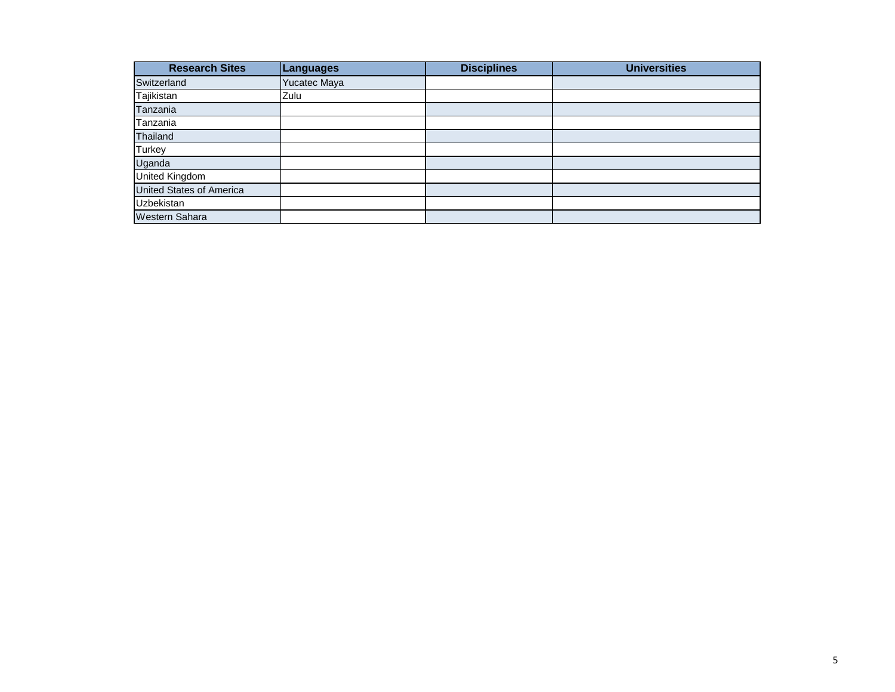| <b>Research Sites</b>           | <b>Languages</b> | <b>Disciplines</b> | <b>Universities</b> |
|---------------------------------|------------------|--------------------|---------------------|
| Switzerland                     | Yucatec Maya     |                    |                     |
| Tajikistan                      | Zulu             |                    |                     |
| Tanzania                        |                  |                    |                     |
| Tanzania                        |                  |                    |                     |
| Thailand                        |                  |                    |                     |
| <b>Turkey</b>                   |                  |                    |                     |
| Uganda                          |                  |                    |                     |
| <b>United Kingdom</b>           |                  |                    |                     |
| <b>United States of America</b> |                  |                    |                     |
| <b>Uzbekistan</b>               |                  |                    |                     |
| <b>Western Sahara</b>           |                  |                    |                     |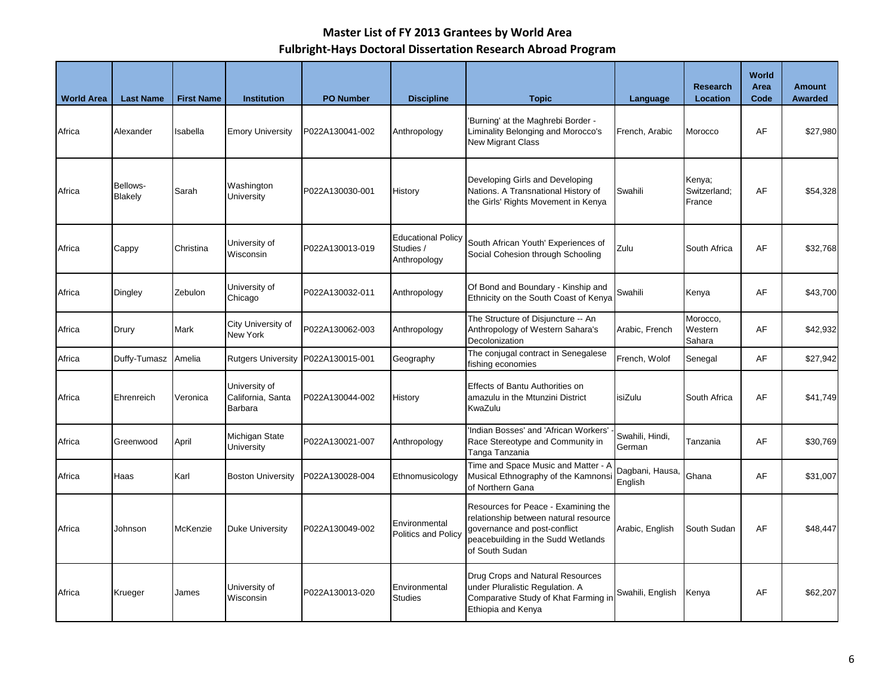| <b>World Area</b> | <b>Last Name</b>    | <b>First Name</b> | <b>Institution</b>                            | <b>PO Number</b> | <b>Discipline</b>                                      | <b>Topic</b>                                                                                                                                                         | Language                   | <b>Research</b><br>Location      | World<br>Area<br>Code | <b>Amount</b><br><b>Awarded</b> |
|-------------------|---------------------|-------------------|-----------------------------------------------|------------------|--------------------------------------------------------|----------------------------------------------------------------------------------------------------------------------------------------------------------------------|----------------------------|----------------------------------|-----------------------|---------------------------------|
| Africa            | Alexander           | Isabella          | <b>Emory University</b>                       | P022A130041-002  | Anthropology                                           | 'Burning' at the Maghrebi Border -<br>Liminality Belonging and Morocco's<br><b>New Migrant Class</b>                                                                 | French, Arabic             | Morocco                          | AF                    | \$27,980                        |
| Africa            | Bellows-<br>Blakely | Sarah             | Washington<br>University                      | P022A130030-001  | History                                                | Developing Girls and Developing<br>Nations. A Transnational History of<br>the Girls' Rights Movement in Kenya                                                        | Swahili                    | Kenya;<br>Switzerland:<br>France | AF                    | \$54,328                        |
| Africa            | Cappy               | Christina         | University of<br>Wisconsin                    | P022A130013-019  | <b>Educational Policy</b><br>Studies /<br>Anthropology | South African Youth' Experiences of<br>Social Cohesion through Schooling                                                                                             | Zulu                       | South Africa                     | AF                    | \$32,768                        |
| Africa            | Dingley             | Zebulon           | University of<br>Chicago                      | P022A130032-011  | Anthropology                                           | Of Bond and Boundary - Kinship and<br>Ethnicity on the South Coast of Kenya                                                                                          | Swahili                    | Kenya                            | AF                    | \$43,700                        |
| Africa            | Drury               | Mark              | City University of<br><b>New York</b>         | P022A130062-003  | Anthropology                                           | The Structure of Disjuncture -- An<br>Anthropology of Western Sahara's<br>Decolonization                                                                             | Arabic, French             | Morocco,<br>Western<br>Sahara    | AF                    | \$42,932                        |
| Africa            | Duffy-Tumasz        | Amelia            | <b>Rutgers University</b>                     | P022A130015-001  | Geography                                              | The conjugal contract in Senegalese<br>fishing economies                                                                                                             | French, Wolof              | Senegal                          | AF                    | \$27,942                        |
| Africa            | Ehrenreich          | Veronica          | University of<br>California, Santa<br>Barbara | P022A130044-002  | History                                                | Effects of Bantu Authorities on<br>amazulu in the Mtunzini District<br>KwaZulu                                                                                       | isiZulu                    | South Africa                     | AF                    | \$41,749                        |
| Africa            | Greenwood           | April             | Michigan State<br>University                  | P022A130021-007  | Anthropology                                           | 'Indian Bosses' and 'African Workers'<br>Race Stereotype and Community in<br>Tanga Tanzania                                                                          | Swahili, Hindi,<br>German  | Tanzania                         | AF                    | \$30,769                        |
| Africa            | Haas                | Karl              | <b>Boston University</b>                      | P022A130028-004  | Ethnomusicology                                        | Time and Space Music and Matter - A<br>Musical Ethnography of the Kamnonsi<br>of Northern Gana                                                                       | Dagbani, Hausa,<br>English | Ghana                            | AF                    | \$31,007                        |
| Africa            | Johnson             | McKenzie          | <b>Duke University</b>                        | P022A130049-002  | Environmental<br>Politics and Policy                   | Resources for Peace - Examining the<br>relationship between natural resource<br>governance and post-conflict<br>peacebuilding in the Sudd Wetlands<br>of South Sudan | Arabic, English            | South Sudan                      | AF                    | \$48,447                        |
| Africa            | Krueger             | James             | University of<br>Wisconsin                    | P022A130013-020  | Environmental<br><b>Studies</b>                        | Drug Crops and Natural Resources<br>under Pluralistic Regulation. A<br>Comparative Study of Khat Farming ir<br>Ethiopia and Kenya                                    | Swahili, English           | Kenya                            | AF                    | \$62,207                        |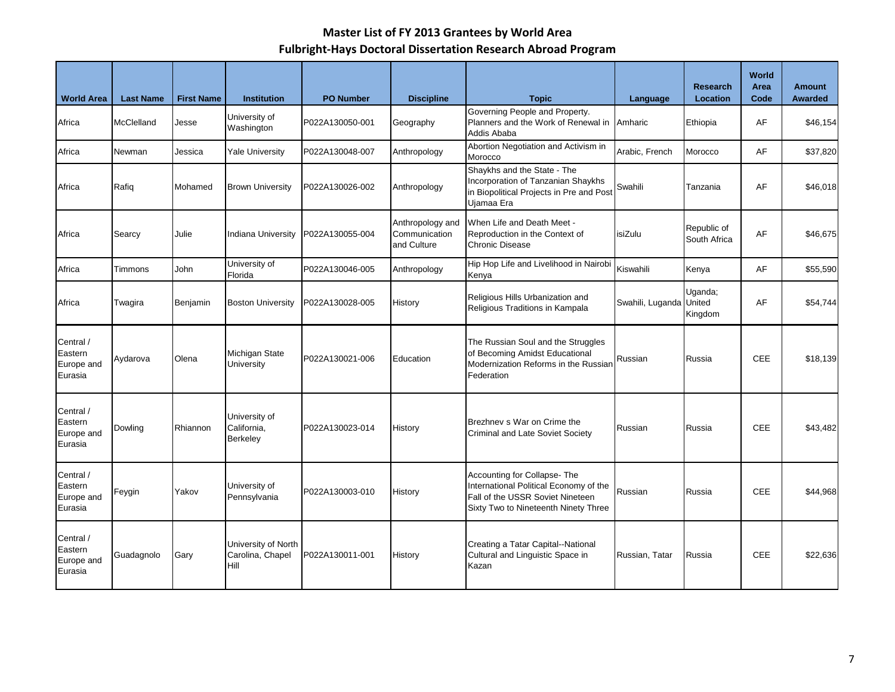| <b>World Area</b>                             | <b>Last Name</b>  | <b>First Name</b> | <b>Institution</b>                              | <b>PO Number</b> | <b>Discipline</b>                                | <b>Topic</b>                                                                                                                                      | Language                | <b>Research</b><br>Location | World<br>Area<br>Code | <b>Amount</b><br><b>Awarded</b> |
|-----------------------------------------------|-------------------|-------------------|-------------------------------------------------|------------------|--------------------------------------------------|---------------------------------------------------------------------------------------------------------------------------------------------------|-------------------------|-----------------------------|-----------------------|---------------------------------|
| Africa                                        | <b>McClelland</b> | Jesse             | University of<br>Washington                     | P022A130050-001  | Geography                                        | Governing People and Property.<br>Planners and the Work of Renewal in<br>Addis Ababa                                                              | Amharic                 | Ethiopia                    | AF                    | \$46,154                        |
| Africa                                        | Newman            | Jessica           | Yale University                                 | P022A130048-007  | Anthropology                                     | Abortion Negotiation and Activism in<br>Morocco                                                                                                   | Arabic, French          | Morocco                     | AF                    | \$37,820                        |
| Africa                                        | Rafiq             | Mohamed           | <b>Brown University</b>                         | P022A130026-002  | Anthropology                                     | Shaykhs and the State - The<br>Incorporation of Tanzanian Shaykhs<br>in Biopolitical Projects in Pre and Post<br>Ujamaa Era                       | Swahili                 | Tanzania                    | AF                    | \$46,018                        |
| Africa                                        | Searcy            | Julie             | Indiana University                              | P022A130055-004  | Anthropology and<br>Communication<br>and Culture | When Life and Death Meet -<br>Reproduction in the Context of<br>Chronic Disease                                                                   | isiZulu                 | Republic of<br>South Africa | AF                    | \$46,675                        |
| Africa                                        | Timmons           | John              | University of<br>Florida                        | P022A130046-005  | Anthropology                                     | Hip Hop Life and Livelihood in Nairobi<br>Kenya                                                                                                   | Kiswahili               | Kenya                       | AF                    | \$55,590                        |
| Africa                                        | Twagira           | Benjamin          | <b>Boston University</b>                        | P022A130028-005  | History                                          | Religious Hills Urbanization and<br>Religious Traditions in Kampala                                                                               | Swahili, Luganda United | Uganda;<br>Kingdom          | AF                    | \$54,744                        |
| Central /<br>Eastern<br>Europe and<br>Eurasia | Aydarova          | Olena             | Michigan State<br>University                    | P022A130021-006  | Education                                        | The Russian Soul and the Struggles<br>of Becoming Amidst Educational<br>Modernization Reforms in the Russian<br>Federation                        | Russian                 | Russia                      | <b>CEE</b>            | \$18,139                        |
| Central /<br>Eastern<br>Europe and<br>Eurasia | Dowling           | Rhiannon          | University of<br>California,<br>Berkeley        | P022A130023-014  | History                                          | Brezhnev s War on Crime the<br>Criminal and Late Soviet Society                                                                                   | Russian                 | Russia                      | <b>CEE</b>            | \$43,482                        |
| Central /<br>Eastern<br>Europe and<br>Eurasia | Feygin            | Yakov             | University of<br>Pennsylvania                   | P022A130003-010  | History                                          | Accounting for Collapse-The<br>International Political Economy of the<br>Fall of the USSR Soviet Nineteen<br>Sixty Two to Nineteenth Ninety Three | Russian                 | Russia                      | <b>CEE</b>            | \$44,968                        |
| Central /<br>Eastern<br>Europe and<br>Eurasia | Guadagnolo        | Gary              | University of North<br>Carolina, Chapel<br>Hill | P022A130011-001  | History                                          | Creating a Tatar Capital--National<br>Cultural and Linguistic Space in<br>Kazan                                                                   | Russian, Tatar          | Russia                      | <b>CEE</b>            | \$22,636                        |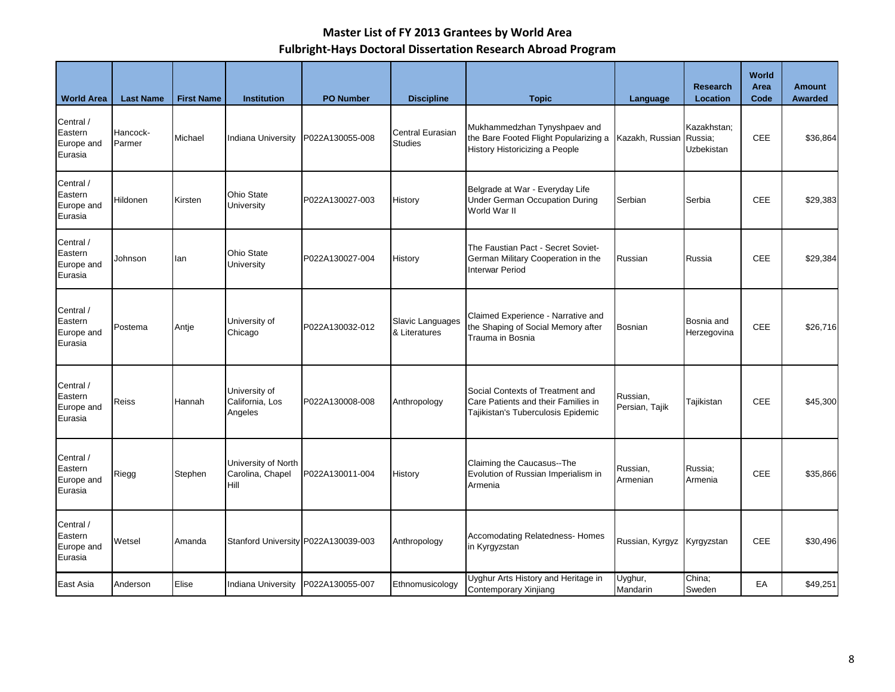| <b>World Area</b>                             | <b>Last Name</b>   | <b>First Name</b> | <b>Institution</b>                              | <b>PO Number</b>                    | <b>Discipline</b>                                                                                   | <b>Topic</b>                                                                                                  | Language                   | <b>Research</b><br>Location          | World<br>Area<br>Code | <b>Amount</b><br>Awarded |
|-----------------------------------------------|--------------------|-------------------|-------------------------------------------------|-------------------------------------|-----------------------------------------------------------------------------------------------------|---------------------------------------------------------------------------------------------------------------|----------------------------|--------------------------------------|-----------------------|--------------------------|
| Central /<br>Eastern<br>Europe and<br>Eurasia | Hancock-<br>Parmer | Michael           | Indiana University                              | P022A130055-008                     | Central Eurasian<br><b>Studies</b>                                                                  | Mukhammedzhan Tynyshpaev and<br>the Bare Footed Flight Popularizing a<br>History Historicizing a People       | Kazakh, Russian            | Kazakhstan:<br>Russia:<br>Uzbekistan | <b>CEE</b>            | \$36,864                 |
| Central /<br>Eastern<br>Europe and<br>Eurasia | Hildonen           | Kirsten           | Ohio State<br>University                        | P022A130027-003                     | Belgrade at War - Everyday Life<br><b>Under German Occupation During</b><br>History<br>World War II |                                                                                                               | Serbian                    | Serbia                               | <b>CEE</b>            | \$29,383                 |
| Central /<br>Eastern<br>Europe and<br>Eurasia | Johnson            | lan               | Ohio State<br>University                        | P022A130027-004                     | History                                                                                             | The Faustian Pact - Secret Soviet-<br>German Military Cooperation in the<br><b>Interwar Period</b>            | Russian                    | Russia                               | <b>CEE</b>            | \$29,384                 |
| Central /<br>Eastern<br>Europe and<br>Eurasia | Postema            | Antje             | University of<br>Chicago                        | P022A130032-012                     | Slavic Languages<br>& Literatures                                                                   | Claimed Experience - Narrative and<br>the Shaping of Social Memory after<br>Trauma in Bosnia                  | <b>Bosnian</b>             | Bosnia and<br>Herzegovina            | <b>CEE</b>            | \$26,716                 |
| Central /<br>Eastern<br>Europe and<br>Eurasia | Reiss              | Hannah            | University of<br>California, Los<br>Angeles     | P022A130008-008                     | Anthropology                                                                                        | Social Contexts of Treatment and<br>Care Patients and their Families in<br>Tajikistan's Tuberculosis Epidemic | Russian,<br>Persian, Tajik | Tajikistan                           | <b>CEE</b>            | \$45,300                 |
| Central /<br>Eastern<br>Europe and<br>Eurasia | Riegg              | Stephen           | University of North<br>Carolina, Chapel<br>Hill | P022A130011-004                     | History                                                                                             | Claiming the Caucasus--The<br>Evolution of Russian Imperialism in<br>Armenia                                  | Russian,<br>Armenian       | Russia;<br>Armenia                   | CEE                   | \$35,866                 |
| Central /<br>Eastern<br>Europe and<br>Eurasia | Wetsel             | Amanda            |                                                 | Stanford University P022A130039-003 | Anthropology                                                                                        | Accomodating Relatedness- Homes<br>in Kyrgyzstan                                                              | Russian, Kyrgyz            | Kyrgyzstan                           | CEE                   | \$30,496                 |
| East Asia                                     | Anderson           | Elise             | <b>Indiana University</b>                       | P022A130055-007                     | Ethnomusicology                                                                                     | Uyghur Arts History and Heritage in<br>Contemporary Xinjiang                                                  | Uyghur,<br>Mandarin        | China:<br>Sweden                     | EA                    | \$49,251                 |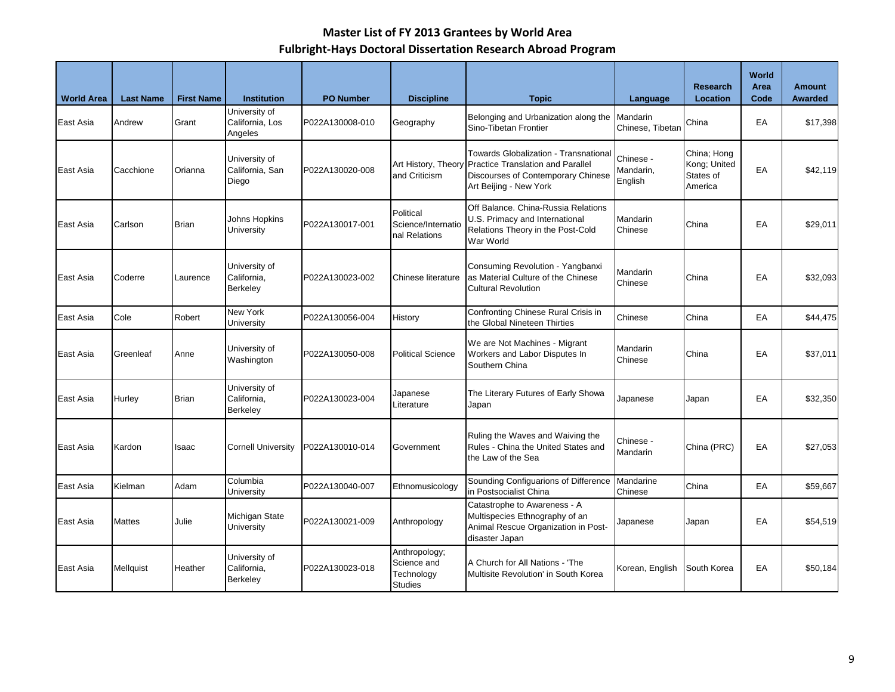| <b>World Area</b> | <b>Last Name</b> | <b>First Name</b> | <b>Institution</b>                              | <b>PO Number</b> | <b>Discipline</b>                                            | <b>Topic</b>                                                                                                                                                          | Language                            | <b>Research</b><br>Location                         | <b>World</b><br>Area<br>Code | <b>Amount</b><br><b>Awarded</b> |
|-------------------|------------------|-------------------|-------------------------------------------------|------------------|--------------------------------------------------------------|-----------------------------------------------------------------------------------------------------------------------------------------------------------------------|-------------------------------------|-----------------------------------------------------|------------------------------|---------------------------------|
| East Asia         | Andrew           | Grant             | University of<br>California, Los<br>Angeles     | P022A130008-010  | Geography                                                    | Belonging and Urbanization along the<br>Sino-Tibetan Frontier                                                                                                         | <b>Mandarin</b><br>Chinese, Tibetan | China                                               | EA                           | \$17,398                        |
| East Asia         | Cacchione        | Orianna           | University of<br>California, San<br>Diego       | P022A130020-008  | and Criticism                                                | <b>Towards Globalization - Transnational</b><br>Art History, Theory Practice Translation and Parallel<br>Discourses of Contemporary Chinese<br>Art Beijing - New York | Chinese -<br>Mandarin,<br>English   | China; Hong<br>Kong; United<br>States of<br>America | EA                           | \$42,119                        |
| East Asia         | Carlson          | Brian             | Johns Hopkins<br>University                     | P022A130017-001  | Political<br>Science/Internatio<br>nal Relations             | Off Balance, China-Russia Relations<br>U.S. Primacy and International<br>Relations Theory in the Post-Cold<br>War World                                               | Mandarin<br>Chinese                 | China                                               | EA                           | \$29,011                        |
| East Asia         | Coderre          | Laurence          | University of<br>California,<br>Berkeley        | P022A130023-002  | Chinese literature                                           | Consuming Revolution - Yangbanxi<br>as Material Culture of the Chinese<br><b>Cultural Revolution</b>                                                                  | Mandarin<br>Chinese                 | China                                               | EA                           | \$32,093                        |
| East Asia         | Cole             | Robert            | New York<br>University                          | P022A130056-004  | History                                                      | Confronting Chinese Rural Crisis in<br>the Global Nineteen Thirties                                                                                                   | Chinese                             | China                                               | EA                           | \$44,475                        |
| East Asia         | Greenleaf        | Anne              | University of<br>Washington                     | P022A130050-008  | <b>Political Science</b>                                     | We are Not Machines - Migrant<br>Workers and Labor Disputes In<br>Southern China                                                                                      | Mandarin<br>Chinese                 | China                                               | EA                           | \$37,011                        |
| East Asia         | Hurley           | <b>Brian</b>      | University of<br>California.<br>Berkeley        | P022A130023-004  | Japanese<br>Literature                                       | The Literary Futures of Early Showa<br>Japan                                                                                                                          | Japanese                            | Japan                                               | EA                           | \$32,350                        |
| East Asia         | Kardon           | Isaac             | <b>Cornell University</b>                       | P022A130010-014  | Government                                                   | Ruling the Waves and Waiving the<br>Rules - China the United States and<br>the Law of the Sea                                                                         | Chinese -<br><b>Mandarin</b>        | China (PRC)                                         | EA                           | \$27,053                        |
| East Asia         | Kielman          | Adam              | Columbia<br>University                          | P022A130040-007  | Ethnomusicology                                              | Sounding Configuarions of Difference<br>in Postsocialist China                                                                                                        | Mandarine<br>Chinese                | China                                               | EA                           | \$59,667                        |
| East Asia         | Mattes           | Julie             | Michigan State<br>University                    | P022A130021-009  | Anthropology                                                 | Catastrophe to Awareness - A<br>Multispecies Ethnography of an<br>Animal Rescue Organization in Post-<br>disaster Japan                                               | Japanese                            | Japan                                               | EA                           | \$54,519                        |
| East Asia         | Mellquist        | Heather           | University of<br>California,<br><b>Berkeley</b> | P022A130023-018  | Anthropology;<br>Science and<br>Technology<br><b>Studies</b> | A Church for All Nations - 'The<br>Multisite Revolution' in South Korea                                                                                               | Korean, English                     | South Korea                                         | EA                           | \$50,184                        |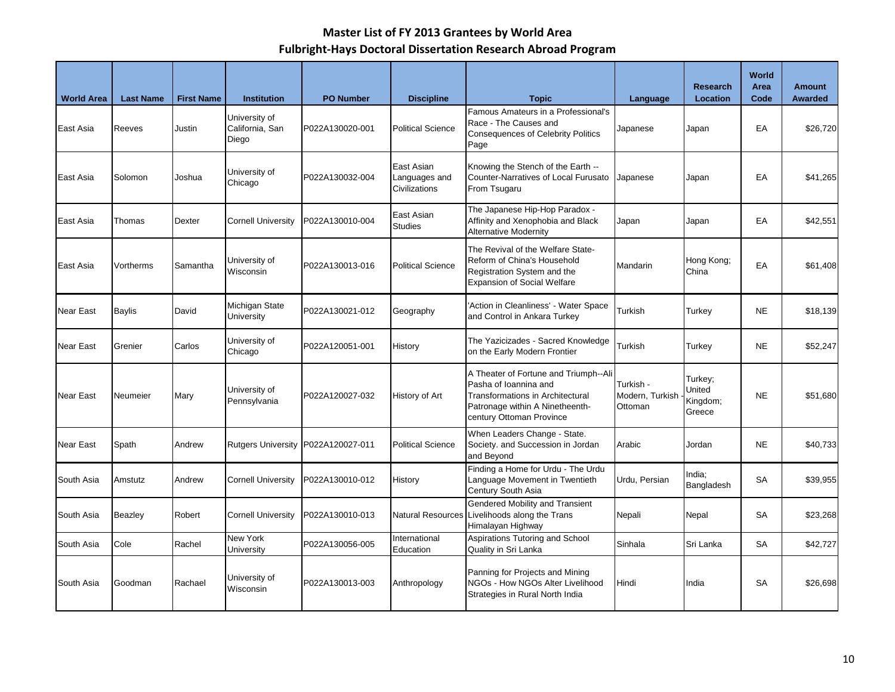| <b>World Area</b> | <b>Last Name</b> | <b>First Name</b> | <b>Institution</b>                        | <b>PO Number</b> | <b>Discipline</b>                            | <b>Topic</b>                                                                                                                                                      | Language                                | <b>Research</b><br>Location             | <b>World</b><br>Area<br>Code | <b>Amount</b><br><b>Awarded</b> |
|-------------------|------------------|-------------------|-------------------------------------------|------------------|----------------------------------------------|-------------------------------------------------------------------------------------------------------------------------------------------------------------------|-----------------------------------------|-----------------------------------------|------------------------------|---------------------------------|
| East Asia         | Reeves           | Justin            | University of<br>California, San<br>Diego | P022A130020-001  | <b>Political Science</b>                     | Famous Amateurs in a Professional's<br>Race - The Causes and<br><b>Consequences of Celebrity Politics</b><br>Page                                                 | Japanese                                | Japan                                   | EA                           | \$26,720                        |
| East Asia         | Solomon          | Joshua            | University of<br>Chicago                  | P022A130032-004  | East Asian<br>Languages and<br>Civilizations | Knowing the Stench of the Earth --<br>Counter-Narratives of Local Furusato<br>From Tsugaru                                                                        | Japanese                                | Japan                                   | EA                           | \$41,265                        |
| East Asia         | Thomas           | <b>Dexter</b>     | <b>Cornell University</b>                 | P022A130010-004  | East Asian<br><b>Studies</b>                 | The Japanese Hip-Hop Paradox -<br>Affinity and Xenophobia and Black<br><b>Alternative Modernity</b>                                                               | Japan                                   | Japan                                   | EA                           | \$42,551                        |
| East Asia         | Vortherms        | Samantha          | University of<br>Wisconsin                | P022A130013-016  | <b>Political Science</b>                     | The Revival of the Welfare State-<br>Reform of China's Household<br>Registration System and the<br><b>Expansion of Social Welfare</b>                             | Mandarin                                | Hong Kong;<br>China                     | EA                           | \$61,408                        |
| <b>Near East</b>  | Baylis           | David             | Michigan State<br>University              | P022A130021-012  | Geography                                    | 'Action in Cleanliness' - Water Space<br>and Control in Ankara Turkey                                                                                             | Turkish                                 | Turkey                                  | <b>NE</b>                    | \$18,139                        |
| <b>Near East</b>  | Grenier          | Carlos            | University of<br>Chicago                  | P022A120051-001  | History                                      | The Yazicizades - Sacred Knowledge<br>on the Early Modern Frontier                                                                                                | Turkish                                 | Turkey                                  | <b>NE</b>                    | \$52,247                        |
| <b>Near East</b>  | Neumeier         | Mary              | University of<br>Pennsylvania             | P022A120027-032  | History of Art                               | A Theater of Fortune and Triumph--Ali<br>Pasha of Ioannina and<br>Transformations in Architectural<br>Patronage within A Ninetheenth-<br>century Ottoman Province | Turkish -<br>Modern, Turkish<br>Ottoman | Turkey;<br>United<br>Kingdom;<br>Greece | <b>NE</b>                    | \$51,680                        |
| Near East         | Spath            | Andrew            | Rutgers University P022A120027-011        |                  | <b>Political Science</b>                     | When Leaders Change - State.<br>Society. and Succession in Jordan<br>and Beyond                                                                                   | Arabic                                  | Jordan                                  | <b>NE</b>                    | \$40,733                        |
| South Asia        | Amstutz          | Andrew            | <b>Cornell University</b>                 | P022A130010-012  | History                                      | Finding a Home for Urdu - The Urdu<br>Language Movement in Twentieth<br>Century South Asia                                                                        | Urdu, Persian                           | India;<br>Bangladesh                    | <b>SA</b>                    | \$39,955                        |
| South Asia        | Beazley          | Robert            | <b>Cornell University</b>                 | P022A130010-013  | Natural Resources                            | Gendered Mobility and Transient<br>Livelihoods along the Trans<br>Himalayan Highway                                                                               | Nepali                                  | Nepal                                   | SA                           | \$23,268                        |
| South Asia        | Cole             | Rachel            | New York<br>University                    | P022A130056-005  | International<br>Education                   | Aspirations Tutoring and School<br>Quality in Sri Lanka                                                                                                           | Sinhala                                 | Sri Lanka                               | SA                           | \$42,727                        |
| South Asia        | Goodman          | Rachael           | University of<br>Wisconsin                | P022A130013-003  | Anthropology                                 | Panning for Projects and Mining<br>NGOs - How NGOs Alter Livelihood<br>Strategies in Rural North India                                                            | Hindi                                   | India                                   | <b>SA</b>                    | \$26,698                        |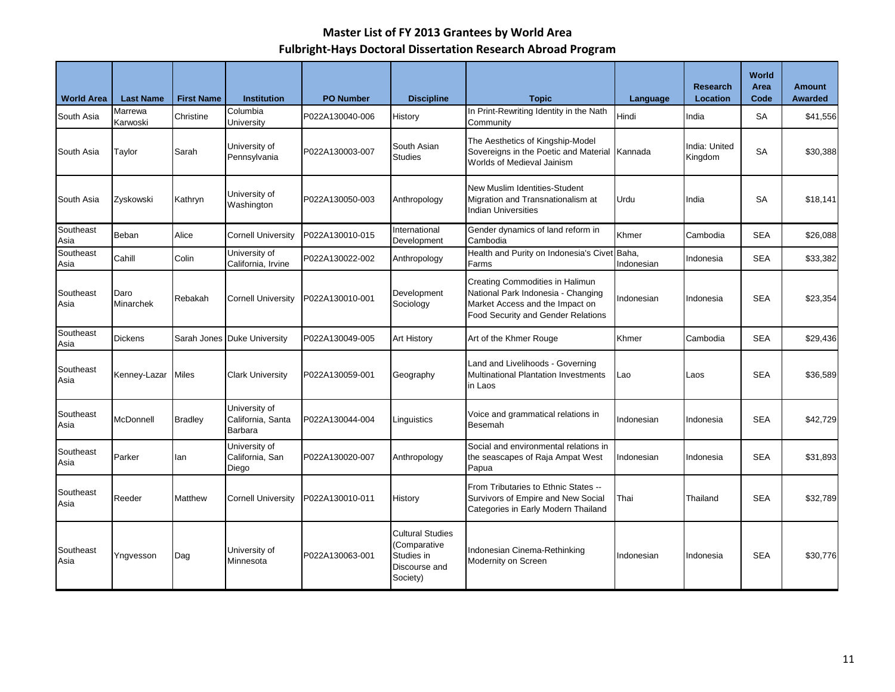| <b>World Area</b> | <b>Last Name</b>         | <b>First Name</b> | <b>Institution</b>                            | <b>PO Number</b> | <b>Discipline</b>                                                                  | <b>Topic</b>                                                                                                                                          | Language   | <b>Research</b><br>Location | World<br>Area<br>Code | <b>Amount</b><br><b>Awarded</b> |
|-------------------|--------------------------|-------------------|-----------------------------------------------|------------------|------------------------------------------------------------------------------------|-------------------------------------------------------------------------------------------------------------------------------------------------------|------------|-----------------------------|-----------------------|---------------------------------|
| South Asia        | Marrewa<br>Karwoski      | Christine         | Columbia<br>University                        | P022A130040-006  | History                                                                            | In Print-Rewriting Identity in the Nath<br>Community                                                                                                  | Hindi      | India                       | <b>SA</b>             | \$41,556                        |
| South Asia        | Taylor                   | Sarah             | University of<br>Pennsylvania                 | P022A130003-007  | South Asian<br><b>Studies</b>                                                      | The Aesthetics of Kingship-Model<br>Sovereigns in the Poetic and Material<br>Worlds of Medieval Jainism                                               | Kannada    | India: United<br>Kingdom    | <b>SA</b>             | \$30,388                        |
| South Asia        | Zyskowski                | Kathryn           | University of<br>Washington                   | P022A130050-003  | Anthropology                                                                       | New Muslim Identities-Student<br>Migration and Transnationalism at<br><b>Indian Universities</b>                                                      | Urdu       | India                       | <b>SA</b>             | \$18,141                        |
| Southeast<br>Asia | Beban                    | Alice             | <b>Cornell University</b>                     | P022A130010-015  | International<br>Development                                                       | Gender dynamics of land reform in<br>Cambodia                                                                                                         | Khmer      | Cambodia                    | <b>SEA</b>            | \$26,088                        |
| Southeast<br>Asia | Cahill                   | Colin             | University of<br>California, Irvine           | P022A130022-002  | Anthropology                                                                       | Health and Purity on Indonesia's Civet Baha,<br>Farms                                                                                                 | Indonesian | Indonesia                   | <b>SEA</b>            | \$33,382                        |
| Southeast<br>Asia | Daro<br><b>Minarchek</b> | Rebakah           | <b>Cornell University</b>                     | P022A130010-001  | Development<br>Sociology                                                           | Creating Commodities in Halimun<br>National Park Indonesia - Changing<br>Market Access and the Impact on<br><b>Food Security and Gender Relations</b> | Indonesian | Indonesia                   | <b>SEA</b>            | \$23,354                        |
| Southeast<br>Asia | <b>Dickens</b>           | Sarah Jones       | <b>Duke University</b>                        | P022A130049-005  | Art History                                                                        | Art of the Khmer Rouge                                                                                                                                | Khmer      | Cambodia                    | <b>SEA</b>            | \$29,436                        |
| Southeast<br>Asia | Kenney-Lazar             | Miles             | <b>Clark University</b>                       | P022A130059-001  | Geography                                                                          | Land and Livelihoods - Governing<br><b>Multinational Plantation Investments</b><br>in Laos                                                            | Lao        | Laos                        | <b>SEA</b>            | \$36,589                        |
| Southeast<br>Asia | McDonnell                | <b>Bradley</b>    | University of<br>California, Santa<br>Barbara | P022A130044-004  | Linguistics                                                                        | Voice and grammatical relations in<br>Besemah                                                                                                         | Indonesian | Indonesia                   | <b>SEA</b>            | \$42,729                        |
| Southeast<br>Asia | Parker                   | lan               | University of<br>California, San<br>Diego     | P022A130020-007  | Anthropology                                                                       | Social and environmental relations in<br>the seascapes of Raja Ampat West<br>Papua                                                                    | Indonesian | Indonesia                   | <b>SEA</b>            | \$31,893                        |
| Southeast<br>Asia | Reeder                   | Matthew           | <b>Cornell University</b>                     | P022A130010-011  | History                                                                            | From Tributaries to Ethnic States --<br>Survivors of Empire and New Social<br>Categories in Early Modern Thailand                                     | Thai       | Thailand                    | <b>SEA</b>            | \$32,789                        |
| Southeast<br>Asia | Yngvesson                | Dag               | University of<br>Minnesota                    | P022A130063-001  | <b>Cultural Studies</b><br>(Comparative<br>Studies in<br>Discourse and<br>Society) | Indonesian Cinema-Rethinking<br>Modernity on Screen                                                                                                   | Indonesian | Indonesia                   | <b>SEA</b>            | \$30,776                        |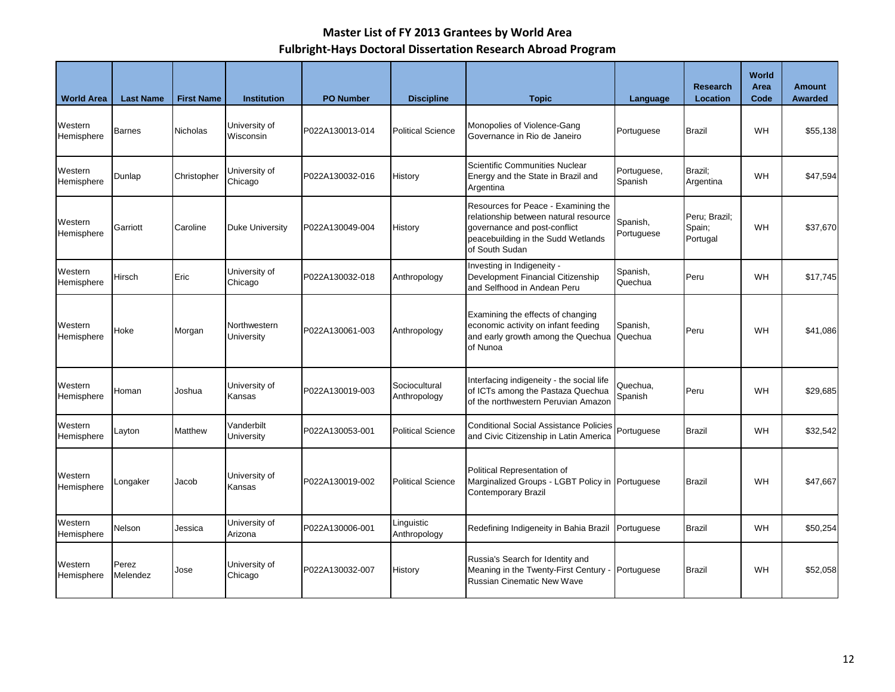| <b>World Area</b>     | <b>Last Name</b>  | <b>First Name</b> | <b>Institution</b>         | <b>PO Number</b> | <b>Discipline</b>             | <b>Topic</b>                                                                                                                                                                                   | Language            | <b>Research</b><br>Location         | <b>World</b><br>Area<br>Code | <b>Amount</b><br><b>Awarded</b> |
|-----------------------|-------------------|-------------------|----------------------------|------------------|-------------------------------|------------------------------------------------------------------------------------------------------------------------------------------------------------------------------------------------|---------------------|-------------------------------------|------------------------------|---------------------------------|
| Western<br>Hemisphere | Barnes            | Nicholas          | University of<br>Wisconsin | P022A130013-014  | <b>Political Science</b>      | Monopolies of Violence-Gang<br>Governance in Rio de Janeiro                                                                                                                                    | Portuguese          | <b>Brazil</b>                       | WH                           | \$55,138                        |
| Western<br>Hemisphere | Dunlap            | Christopher       | University of<br>Chicago   | P022A130032-016  | History                       | Scientific Communities Nuclear<br>Portuguese,<br>Energy and the State in Brazil and<br>Spanish<br>Argentina                                                                                    |                     | Brazil:<br>Argentina                | <b>WH</b>                    | \$47,594                        |
| Western<br>Hemisphere | Garriott          | Caroline          | Duke University            | P022A130049-004  | History                       | Resources for Peace - Examining the<br>relationship between natural resource<br>Spanish,<br>governance and post-conflict<br>Portuguese<br>peacebuilding in the Sudd Wetlands<br>of South Sudan |                     | Peru; Brazil;<br>Spain;<br>Portugal | WH                           | \$37,670                        |
| Western<br>Hemisphere | Hirsch            | Eric              | University of<br>Chicago   | P022A130032-018  | Anthropology                  | Investing in Indigeneity -<br>Development Financial Citizenship<br>and Selfhood in Andean Peru                                                                                                 | Spanish,<br>Quechua | Peru                                | WH                           | \$17,745                        |
| Western<br>Hemisphere | Hoke              | Morgan            | Northwestern<br>University | P022A130061-003  | Anthropology                  | Examining the effects of changing<br>economic activity on infant feeding<br>and early growth among the Quechua<br>of Nunoa                                                                     | Spanish,<br>Quechua | Peru                                | WH                           | \$41,086                        |
| Western<br>Hemisphere | Homan             | Joshua            | University of<br>Kansas    | P022A130019-003  | Sociocultural<br>Anthropology | Interfacing indigeneity - the social life<br>of ICTs among the Pastaza Quechua<br>of the northwestern Peruvian Amazon                                                                          | Quechua.<br>Spanish | Peru                                | WH                           | \$29,685                        |
| Western<br>Hemisphere | Layton            | <b>Matthew</b>    | Vanderbilt<br>University   | P022A130053-001  | <b>Political Science</b>      | <b>Conditional Social Assistance Policies</b><br>and Civic Citizenship in Latin America                                                                                                        | Portuguese          | <b>Brazil</b>                       | WH                           | \$32,542                        |
| Western<br>Hemisphere | Longaker          | Jacob             | University of<br>Kansas    | P022A130019-002  | <b>Political Science</b>      | Political Representation of<br>Marginalized Groups - LGBT Policy in Portuguese<br><b>Contemporary Brazil</b>                                                                                   |                     | <b>Brazil</b>                       | WH                           | \$47,667                        |
| Western<br>Hemisphere | Nelson            | Jessica           | University of<br>Arizona   | P022A130006-001  | Linguistic<br>Anthropology    | Redefining Indigeneity in Bahia Brazil                                                                                                                                                         | Portuguese          | <b>Brazil</b>                       | <b>WH</b>                    | \$50,254                        |
| Western<br>Hemisphere | Perez<br>Melendez | Jose              | University of<br>Chicago   | P022A130032-007  | History                       | Russia's Search for Identity and<br>Meaning in the Twenty-First Century -<br><b>Russian Cinematic New Wave</b>                                                                                 | Portuguese          | <b>Brazil</b>                       | WH                           | \$52,058                        |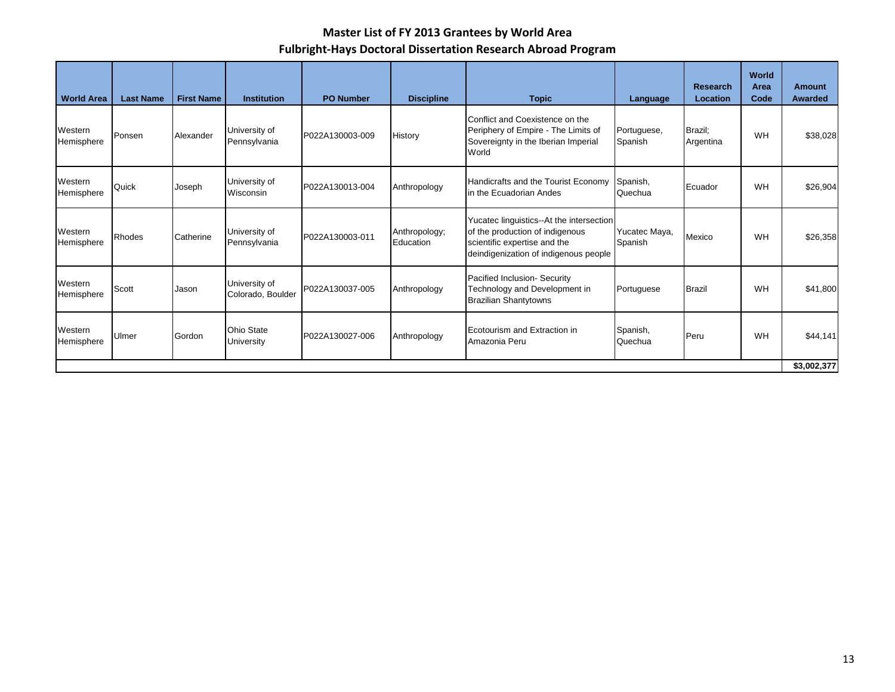| <b>World Area</b>     | <b>Last Name</b> | <b>First Name</b> | <b>Institution</b>                 | <b>PO Number</b> | <b>Discipline</b>          | <b>Topic</b>                                                                                                                                         | Language                 | <b>Research</b><br>Location | World<br>Area<br>Code | <b>Amount</b><br>Awarded |
|-----------------------|------------------|-------------------|------------------------------------|------------------|----------------------------|------------------------------------------------------------------------------------------------------------------------------------------------------|--------------------------|-----------------------------|-----------------------|--------------------------|
| Western<br>Hemisphere | Ponsen           | Alexander         | University of<br>Pennsylvania      | P022A130003-009  | History                    | Conflict and Coexistence on the<br>Periphery of Empire - The Limits of<br>Sovereignty in the Iberian Imperial<br>World                               | Portuguese,<br>Spanish   | Brazil;<br>Argentina        | WH                    | \$38,028                 |
| Western<br>Hemisphere | Quick            | Joseph            | University of<br>Wisconsin         | P022A130013-004  | Anthropology               | Handicrafts and the Tourist Economy<br>in the Ecuadorian Andes                                                                                       | Spanish,<br>Quechua      | Ecuador                     | WH                    | \$26,904                 |
| Western<br>Hemisphere | <b>Rhodes</b>    | Catherine         | University of<br>Pennsylvania      | P022A130003-011  | Anthropology;<br>Education | Yucatec linguistics--At the intersection<br>of the production of indigenous<br>scientific expertise and the<br>deindigenization of indigenous people | Yucatec Maya,<br>Spanish | Mexico                      | WH                    | \$26,358                 |
| Western<br>Hemisphere | Scott            | Jason             | University of<br>Colorado, Boulder | P022A130037-005  | Anthropology               | Pacified Inclusion- Security<br>Technology and Development in<br><b>Brazilian Shantytowns</b>                                                        | Portuguese               | <b>Brazil</b>               | WH                    | \$41,800                 |
| Western<br>Hemisphere | Ulmer            | Gordon            | <b>Ohio State</b><br>University    | P022A130027-006  | Anthropology               | Ecotourism and Extraction in<br>Amazonia Peru                                                                                                        | Spanish,<br>Quechua      | Peru                        | WH                    | \$44,141                 |
|                       |                  |                   |                                    |                  |                            |                                                                                                                                                      |                          |                             |                       | \$3,002,377              |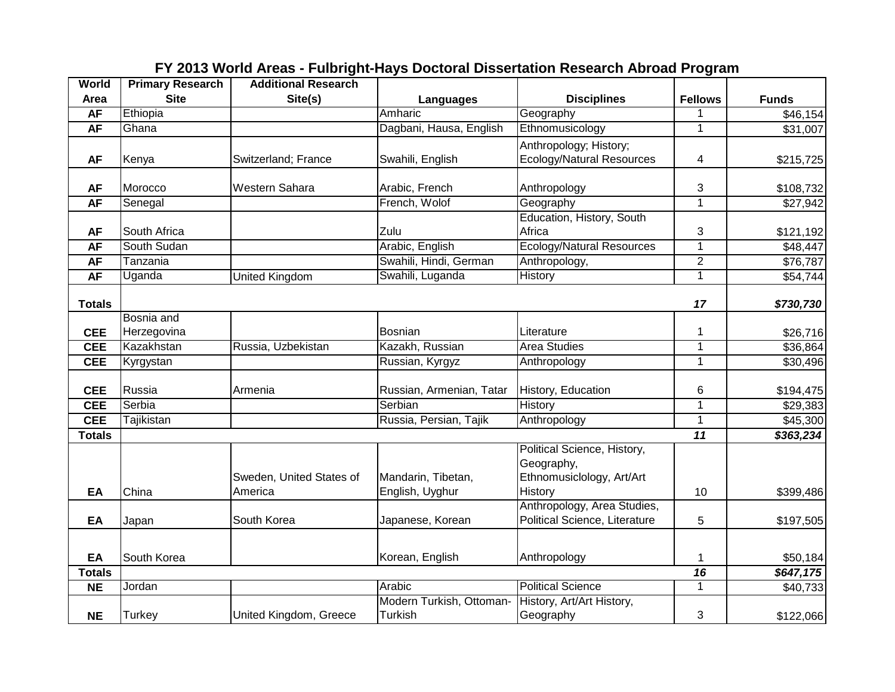| <b>World</b>   | <b>Primary Research</b> | <b>Additional Research</b>          |                                       |                                                                                   |                 |              |
|----------------|-------------------------|-------------------------------------|---------------------------------------|-----------------------------------------------------------------------------------|-----------------|--------------|
| Area           | <b>Site</b>             | Site(s)                             | <b>Languages</b>                      | <b>Disciplines</b>                                                                | <b>Fellows</b>  | <b>Funds</b> |
| <b>AF</b>      | Ethiopia                |                                     | Amharic                               | Geography                                                                         |                 | \$46,154     |
| <b>AF</b>      | Ghana                   |                                     | Dagbani, Hausa, English               | Ethnomusicology                                                                   | $\mathbf{1}$    | \$31,007     |
|                |                         |                                     |                                       | Anthropology; History;                                                            |                 |              |
| <b>AF</b>      | Kenya                   | Switzerland; France                 | Swahili, English                      | <b>Ecology/Natural Resources</b>                                                  | 4               | \$215,725    |
| <b>AF</b>      | Morocco                 | Western Sahara                      | Arabic, French                        | Anthropology                                                                      | 3               | \$108,732    |
| <b>AF</b>      | Senegal                 |                                     | French, Wolof                         | Geography                                                                         | $\mathbf{1}$    | \$27,942     |
|                |                         |                                     |                                       | Education, History, South                                                         |                 |              |
| <b>AF</b>      | South Africa            |                                     | Zulu                                  | Africa                                                                            | 3               | \$121,192    |
| <b>AF</b>      | South Sudan             |                                     | Arabic, English                       | <b>Ecology/Natural Resources</b>                                                  | $\mathbf{1}$    | \$48,447     |
| <b>AF</b>      | Tanzania                |                                     | Swahili, Hindi, German                | Anthropology,                                                                     | $\overline{2}$  | \$76,787     |
| <b>AF</b>      | Uganda                  | United Kingdom                      | Swahili, Luganda                      | <b>History</b>                                                                    | $\overline{1}$  | \$54,744     |
|                |                         |                                     |                                       |                                                                                   |                 |              |
| <b>Totals</b>  |                         |                                     |                                       |                                                                                   | 17              | \$730,730    |
|                | Bosnia and              |                                     |                                       |                                                                                   |                 |              |
| <b>CEE</b>     | Herzegovina             |                                     | Bosnian                               | Literature                                                                        | $\mathbf{1}$    | \$26,716     |
| <b>CEE</b>     | Kazakhstan              | Russia, Uzbekistan                  | Kazakh, Russian                       | <b>Area Studies</b>                                                               | $\overline{1}$  | \$36,864     |
| <b>CEE</b>     | Kyrgystan               |                                     | Russian, Kyrgyz                       | Anthropology                                                                      | $\overline{1}$  | \$30,496     |
| <b>CEE</b>     | Russia                  | Armenia                             | Russian, Armenian, Tatar              | History, Education                                                                | 6               | \$194,475    |
| <b>CEE</b>     | Serbia                  |                                     | Serbian                               | <b>History</b>                                                                    | $\mathbf{1}$    | \$29,383     |
| <b>CEE</b>     | Tajikistan              |                                     | Russia, Persian, Tajik                | Anthropology                                                                      | $\overline{1}$  | \$45,300     |
| <b>Totals</b>  |                         |                                     |                                       |                                                                                   | $\overline{11}$ | \$363,234    |
| EA             | China                   | Sweden, United States of<br>America | Mandarin, Tibetan,<br>English, Uyghur | Political Science, History,<br>Geography,<br>Ethnomusiclology, Art/Art<br>History | 10              | \$399,486    |
|                |                         |                                     |                                       | Anthropology, Area Studies,                                                       |                 |              |
| EA             | Japan                   | South Korea                         | Japanese, Korean                      | Political Science, Literature                                                     | 5               | \$197,505    |
| EA             | South Korea             |                                     | Korean, English                       | Anthropology                                                                      | $\mathbf{1}$    | \$50,184     |
| <b>Totals</b>  |                         |                                     |                                       |                                                                                   | 16              | \$647,175    |
| N <sub>E</sub> | Jordan                  |                                     | Arabic                                | <b>Political Science</b>                                                          | $\overline{1}$  | \$40,733     |
| <b>NE</b>      | <b>Turkey</b>           | United Kingdom, Greece              | Modern Turkish, Ottoman-<br>Turkish   | History, Art/Art History,<br>Geography                                            | 3               | \$122,066    |

# **FY 2013 World Areas - Fulbright-Hays Doctoral Dissertation Research Abroad Program**